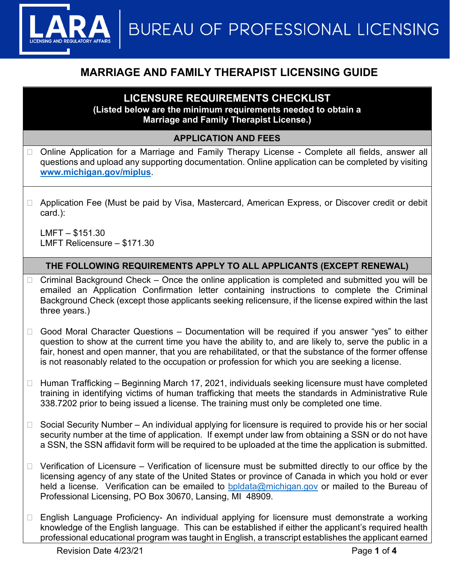**BUREAU OF PROFESSIONAL LICENSING** 

# **MARRIAGE AND FAMILY THERAPIST LICENSING GUIDE**

## **LICENSURE REQUIREMENTS CHECKLIST**

**(Listed below are the minimum requirements needed to obtain a Marriage and Family Therapist License.)**

### **APPLICATION AND FEES**

- □ Online Application for a Marriage and Family Therapy License Complete all fields, answer all questions and upload any supporting documentation. Online application can be completed by visiting **[www.michigan.gov/miplus](http://www.michigan.gov/miplus)**.
- □ Application Fee (Must be paid by Visa, Mastercard, American Express, or Discover credit or debit card.):

LMFT – \$151.30 LMFT Relicensure – \$171.30

### **THE FOLLOWING REQUIREMENTS APPLY TO ALL APPLICANTS (EXCEPT RENEWAL)**

- $\Box$  Criminal Background Check Once the online application is completed and submitted you will be emailed an Application Confirmation letter containing instructions to complete the Criminal Background Check (except those applicants seeking relicensure, if the license expired within the last three years.)
- $\Box$  Good Moral Character Questions Documentation will be required if you answer "yes" to either question to show at the current time you have the ability to, and are likely to, serve the public in a fair, honest and open manner, that you are rehabilitated, or that the substance of the former offense is not reasonably related to the occupation or profession for which you are seeking a license.
- $\Box$  Human Trafficking Beginning March 17, 2021, individuals seeking licensure must have completed training in identifying victims of human trafficking that meets the standards in Administrative Rule 338.7202 prior to being issued a license. The training must only be completed one time.
- $\Box$  Social Security Number An individual applying for licensure is required to provide his or her social security number at the time of application. If exempt under law from obtaining a SSN or do not have a SSN, the SSN affidavit form will be required to be uploaded at the time the application is submitted.
- $\Box$  Verification of Licensure Verification of licensure must be submitted directly to our office by the licensing agency of any state of the United States or province of Canada in which you hold or ever held a license. Verification can be emailed to [bpldata@michigan.gov](mailto:bpldata@michigan.gov) or mailed to the Bureau of Professional Licensing, PO Box 30670, Lansing, MI 48909.
- □ English Language Proficiency- An individual applying for licensure must demonstrate a working knowledge of the English language. This can be established if either the applicant's required health professional educational program was taught in English, a transcript establishes the applicant earned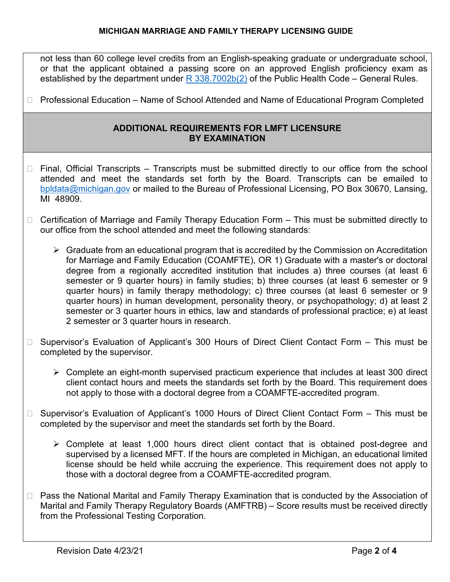#### **MICHIGAN MARRIAGE AND FAMILY THERAPY LICENSING GUIDE**

not less than 60 college level credits from an English-speaking graduate or undergraduate school, or that the applicant obtained a passing score on an approved English proficiency exam as established by the department under  $R$  338.7002b(2) of the Public Health Code – General Rules.

□ Professional Education – Name of School Attended and Name of Educational Program Completed

#### **ADDITIONAL REQUIREMENTS FOR LMFT LICENSURE BY EXAMINATION**

- $\Box$  Final, Official Transcripts Transcripts must be submitted directly to our office from the school attended and meet the standards set forth by the Board. Transcripts can be emailed to [bpldata@michigan.gov](mailto:bpldata@michigan.gov) or mailed to the Bureau of Professional Licensing, PO Box 30670, Lansing, MI 48909.
- □ Certification of Marriage and Family Therapy Education Form This must be submitted directly to our office from the school attended and meet the following standards:
	- $\triangleright$  Graduate from an educational program that is accredited by the Commission on Accreditation for Marriage and Family Education (COAMFTE), OR 1) Graduate with a master's or doctoral degree from a regionally accredited institution that includes a) three courses (at least 6 semester or 9 quarter hours) in family studies; b) three courses (at least 6 semester or 9 quarter hours) in family therapy methodology; c) three courses (at least 6 semester or 9 quarter hours) in human development, personality theory, or psychopathology; d) at least 2 semester or 3 quarter hours in ethics, law and standards of professional practice; e) at least 2 semester or 3 quarter hours in research.
- □ Supervisor's Evaluation of Applicant's 300 Hours of Direct Client Contact Form This must be completed by the supervisor.
	- $\triangleright$  Complete an eight-month supervised practicum experience that includes at least 300 direct client contact hours and meets the standards set forth by the Board. This requirement does not apply to those with a doctoral degree from a COAMFTE-accredited program.
- $\Box$  Supervisor's Evaluation of Applicant's 1000 Hours of Direct Client Contact Form  $-$  This must be completed by the supervisor and meet the standards set forth by the Board.
	- $\triangleright$  Complete at least 1,000 hours direct client contact that is obtained post-degree and supervised by a licensed MFT. If the hours are completed in Michigan, an educational limited license should be held while accruing the experience. This requirement does not apply to those with a doctoral degree from a COAMFTE-accredited program.
- $\Box$  Pass the National Marital and Family Therapy Examination that is conducted by the Association of Marital and Family Therapy Regulatory Boards (AMFTRB) – Score results must be received directly from the Professional Testing Corporation.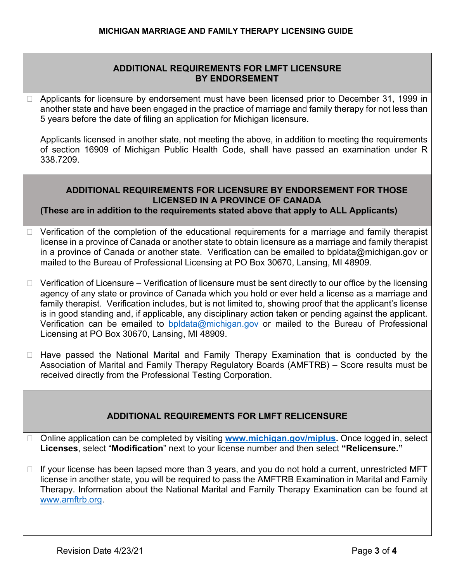### **ADDITIONAL REQUIREMENTS FOR LMFT LICENSURE BY ENDORSEMENT**

 Applicants for licensure by endorsement must have been licensed prior to December 31, 1999 in another state and have been engaged in the practice of marriage and family therapy for not less than 5 years before the date of filing an application for Michigan licensure.

Applicants licensed in another state, not meeting the above, in addition to meeting the requirements of section 16909 of Michigan Public Health Code, shall have passed an examination under R 338.7209.

### **ADDITIONAL REQUIREMENTS FOR LICENSURE BY ENDORSEMENT FOR THOSE LICENSED IN A PROVINCE OF CANADA**

**(These are in addition to the requirements stated above that apply to ALL Applicants)**

- Verification of the completion of the educational requirements for a marriage and family therapist license in a province of Canada or another state to obtain licensure as a marriage and family therapist in a province of Canada or another state. Verification can be emailed to bpldata@michigan.gov or mailed to the Bureau of Professional Licensing at PO Box 30670, Lansing, MI 48909.
- $\Box$  Verification of Licensure Verification of licensure must be sent directly to our office by the licensing agency of any state or province of Canada which you hold or ever held a license as a marriage and family therapist. Verification includes, but is not limited to, showing proof that the applicant's license is in good standing and, if applicable, any disciplinary action taken or pending against the applicant. Verification can be emailed to [bpldata@michigan.gov](mailto:bpldata@michigan.gov) or mailed to the Bureau of Professional Licensing at PO Box 30670, Lansing, MI 48909.
- □ Have passed the National Marital and Family Therapy Examination that is conducted by the Association of Marital and Family Therapy Regulatory Boards (AMFTRB) – Score results must be received directly from the Professional Testing Corporation.

### **ADDITIONAL REQUIREMENTS FOR LMFT RELICENSURE**

- □ Online application can be completed by visiting **www.michigan.gov/miplus**. Once logged in, select **Licenses**, select "**Modification**" next to your license number and then select **"Relicensure."**
- $\Box$  If your license has been lapsed more than 3 years, and you do not hold a current, unrestricted MFT license in another state, you will be required to pass the AMFTRB Examination in Marital and Family Therapy. Information about the National Marital and Family Therapy Examination can be found at [www.amftrb.org.](http://www.amftrb.org/)